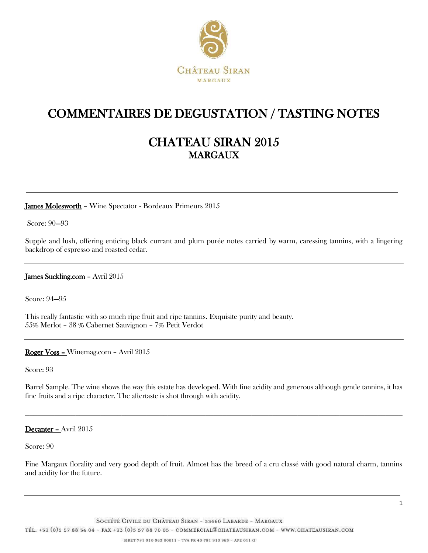

## COMMENTAIRES DE DEGUSTATION / TASTING NOTES

### CHATEAU SIRAN 2015 **MARGAUX**

James Molesworth - Wine Spectator - Bordeaux Primeurs 2015

Score: 90—93

Supple and lush, offering enticing black currant and plum purée notes carried by warm, caressing tannins, with a lingering backdrop of espresso and roasted cedar.

#### James Suckling.com - Avril 2015

Score: 94—95

This really fantastic with so much ripe fruit and ripe tannins. Exquisite purity and beauty. 55% Merlot – 38 % Cabernet Sauvignon – 7% Petit Verdot

### Roger Voss – Winemag.com – Avril 2015

Score: 93

Barrel Sample. The wine shows the way this estate has developed. With fine acidity and generous although gentle tannins, it has fine fruits and a ripe character. The aftertaste is shot through with acidity.

\_\_\_\_\_\_\_\_\_\_\_\_\_\_\_\_\_\_\_\_\_\_\_\_\_\_\_\_\_\_\_\_\_\_\_\_\_\_\_\_\_\_\_\_\_\_\_\_\_\_\_\_\_\_\_\_\_\_\_\_\_\_\_\_\_\_\_\_\_\_\_\_\_\_\_\_\_\_\_\_\_\_\_\_\_\_\_\_\_\_

#### Decanter – Avril 2015

Score: 90

Fine Margaux florality and very good depth of fruit. Almost has the breed of a cru classé with good natural charm, tannins and acidity for the future.